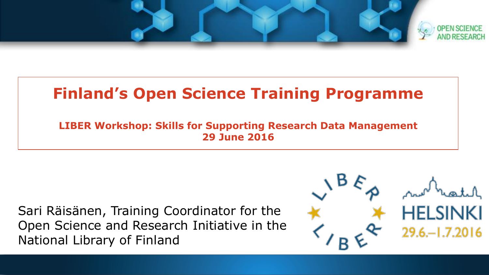

#### **Finland's Open Science Training Programme**

**LIBER Workshop: Skills for Supporting Research Data Management 29 June 2016**

Sari Räisänen, Training Coordinator for the Open Science and Research Initiative in the National Library of Finland

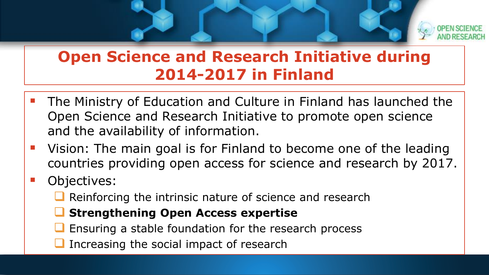

#### **Open Science and Research Initiative during 2014-2017 in Finland**

- The Ministry of Education and Culture in Finland has launched the Open Science and Research Initiative to promote open science and the availability of information.
- Vision: The main goal is for Finland to become one of the leading countries providing open access for science and research by 2017.

#### Objectives:

- $\Box$  Reinforcing the intrinsic nature of science and research
- **Strengthening Open Access expertise**
- Ensuring a stable foundation for the research process
- Increasing the social impact of research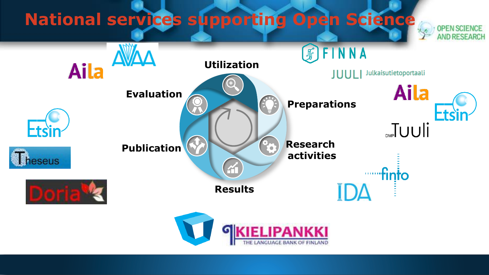## **National services supporting Open Science**



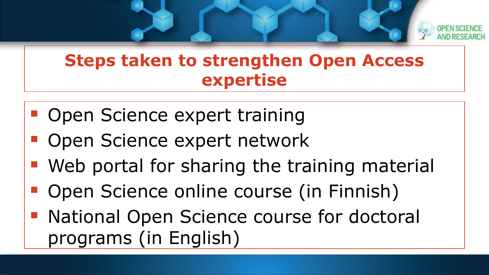

#### **Steps taken to strengthen Open Access expertise**

- **Open Science expert training**
- Open Science expert network
- **Web portal for sharing the training material**
- **Open Science online course (in Finnish)**
- National Open Science course for doctoral programs (in English)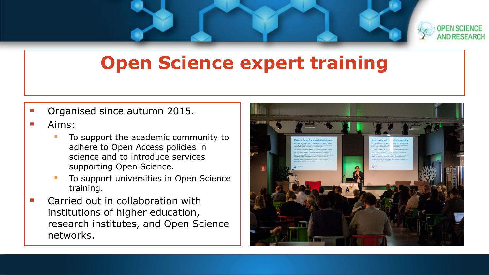

## **Open Science expert training**

Organised since autumn 2015.

#### Aims:

- To support the academic community to adhere to Open Access policies in science and to introduce services supporting Open Science.
- To support universities in Open Science training.
- Carried out in collaboration with institutions of higher education, research institutes, and Open Science networks.

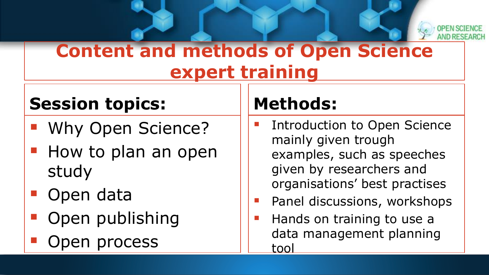

## **Content and methods of Open Science expert training**

#### **Session topics:**

- **Why Open Science?**
- How to plan an open study
- Open data
- Open publishing
- Open process

## **Methods:**

- Introduction to Open Science mainly given trough examples, such as speeches given by researchers and organisations' best practises
- Panel discussions, workshops
- Hands on training to use a data management planning tool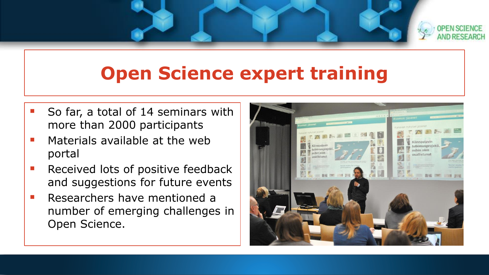

## **Open Science expert training**

- So far, a total of 14 seminars with more than 2000 participants
- Materials available at the web portal
- Received lots of positive feedback and suggestions for future events
- Researchers have mentioned a number of emerging challenges in Open Science.

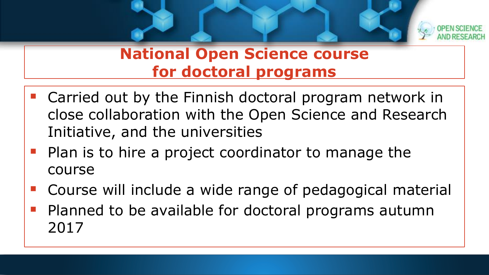

#### **National Open Science course for doctoral programs**

- **Carried out by the Finnish doctoral program network in** close collaboration with the Open Science and Research Initiative, and the universities
- **Plan is to hire a project coordinator to manage the** course
- Course will include a wide range of pedagogical material
- Planned to be available for doctoral programs autumn 2017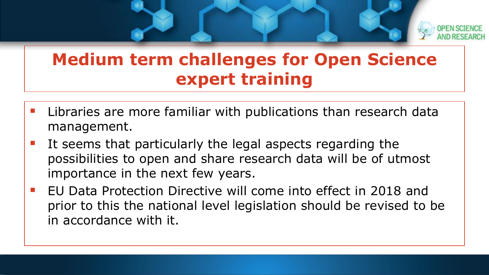

### **Medium term challenges for Open Science expert training**

- Libraries are more familiar with publications than research data management.
- It seems that particularly the legal aspects regarding the possibilities to open and share research data will be of utmost importance in the next few years.
- EU Data Protection Directive will come into effect in 2018 and prior to this the national level legislation should be revised to be in accordance with it.